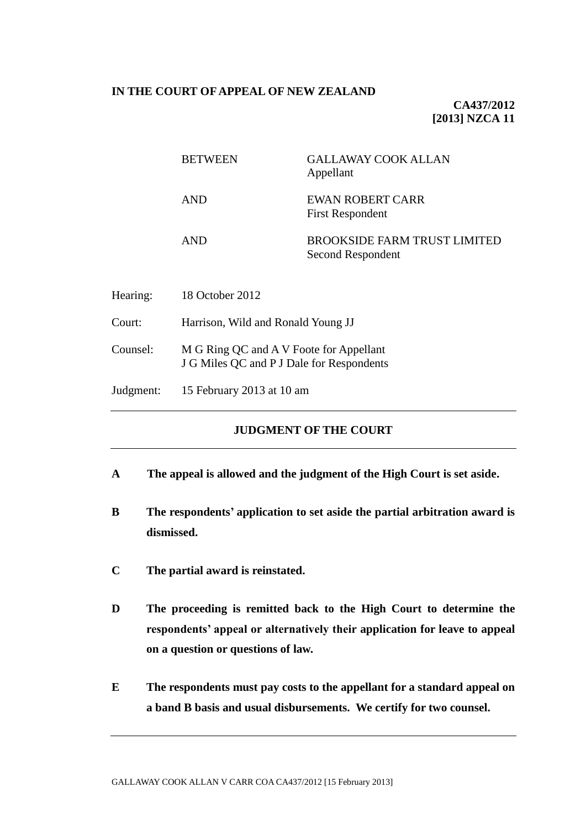### **IN THE COURT OF APPEAL OF NEW ZEALAND**

**CA437/2012 [2013] NZCA 11**

|           | <b>BETWEEN</b>                                                                       | <b>GALLAWAY COOK ALLAN</b><br>Appellant                  |
|-----------|--------------------------------------------------------------------------------------|----------------------------------------------------------|
|           | <b>AND</b>                                                                           | EWAN ROBERT CARR<br><b>First Respondent</b>              |
|           | <b>AND</b>                                                                           | <b>BROOKSIDE FARM TRUST LIMITED</b><br>Second Respondent |
| Hearing:  | 18 October 2012                                                                      |                                                          |
| Court:    | Harrison, Wild and Ronald Young JJ                                                   |                                                          |
| Counsel:  | M G Ring QC and A V Foote for Appellant<br>J G Miles QC and P J Dale for Respondents |                                                          |
| Judgment: | 15 February 2013 at 10 am                                                            |                                                          |
|           |                                                                                      |                                                          |

# **JUDGMENT OF THE COURT**

- **A The appeal is allowed and the judgment of the High Court is set aside.**
- **B The respondents' application to set aside the partial arbitration award is dismissed.**
- **C The partial award is reinstated.**
- **D The proceeding is remitted back to the High Court to determine the respondents' appeal or alternatively their application for leave to appeal on a question or questions of law.**
- **E The respondents must pay costs to the appellant for a standard appeal on a band B basis and usual disbursements. We certify for two counsel.**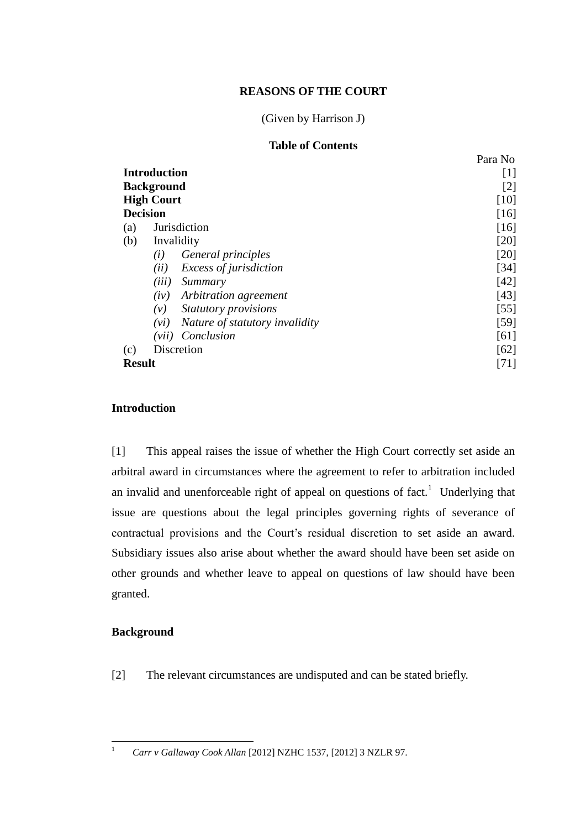## **REASONS OF THE COURT**

# (Given by Harrison J)

# **Table of Contents**

|                   |                                        | Para No |
|-------------------|----------------------------------------|---------|
|                   | <b>Introduction</b>                    | [1]     |
|                   | <b>Background</b>                      | [2]     |
| <b>High Court</b> |                                        | [10]    |
| <b>Decision</b>   |                                        | [16]    |
| (a)               | <b>Jurisdiction</b>                    | [16]    |
| (b)               | Invalidity                             | [20]    |
|                   | General principles<br>(i)              | $[20]$  |
|                   | Excess of jurisdiction<br>(ii)         | $[34]$  |
|                   | (iii)<br>Summary                       | [42]    |
|                   | Arbitration agreement<br>(iv)          | [43]    |
|                   | Statutory provisions<br>(v)            | $[55]$  |
|                   | Nature of statutory invalidity<br>(vi) | $[59]$  |
|                   | Conclusion<br>(vii)                    | [61]    |
| (c)               | Discretion                             | [62]    |
| <b>Result</b>     |                                        | [71]    |

## **Introduction**

<span id="page-1-0"></span>[1] This appeal raises the issue of whether the High Court correctly set aside an arbitral award in circumstances where the agreement to refer to arbitration included an invalid and unenforceable right of appeal on questions of fact.<sup>1</sup> Underlying that issue are questions about the legal principles governing rights of severance of contractual provisions and the Court's residual discretion to set aside an award. Subsidiary issues also arise about whether the award should have been set aside on other grounds and whether leave to appeal on questions of law should have been granted.

### **Background**

<span id="page-1-1"></span>[2] The relevant circumstances are undisputed and can be stated briefly.

 $\bar{1}$ 

<sup>1</sup> *Carr v Gallaway Cook Allan* [2012] NZHC 1537, [2012] 3 NZLR 97.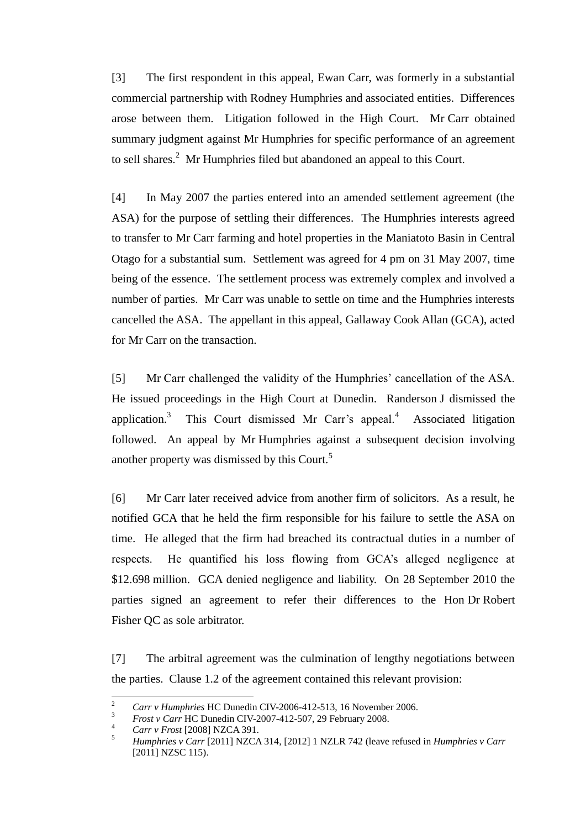[3] The first respondent in this appeal, Ewan Carr, was formerly in a substantial commercial partnership with Rodney Humphries and associated entities. Differences arose between them. Litigation followed in the High Court. Mr Carr obtained summary judgment against Mr Humphries for specific performance of an agreement to sell shares.<sup>2</sup> Mr Humphries filed but abandoned an appeal to this Court.

[4] In May 2007 the parties entered into an amended settlement agreement (the ASA) for the purpose of settling their differences. The Humphries interests agreed to transfer to Mr Carr farming and hotel properties in the Maniatoto Basin in Central Otago for a substantial sum. Settlement was agreed for 4 pm on 31 May 2007, time being of the essence. The settlement process was extremely complex and involved a number of parties. Mr Carr was unable to settle on time and the Humphries interests cancelled the ASA. The appellant in this appeal, Gallaway Cook Allan (GCA), acted for Mr Carr on the transaction.

[5] Mr Carr challenged the validity of the Humphries' cancellation of the ASA. He issued proceedings in the High Court at Dunedin. Randerson J dismissed the application.<sup>3</sup> This Court dismissed Mr Carr's appeal.<sup>4</sup> Associated litigation followed. An appeal by Mr Humphries against a subsequent decision involving another property was dismissed by this Court.<sup>5</sup>

[6] Mr Carr later received advice from another firm of solicitors. As a result, he notified GCA that he held the firm responsible for his failure to settle the ASA on time. He alleged that the firm had breached its contractual duties in a number of respects. He quantified his loss flowing from GCA's alleged negligence at \$12.698 million. GCA denied negligence and liability. On 28 September 2010 the parties signed an agreement to refer their differences to the Hon Dr Robert Fisher QC as sole arbitrator.

[7] The arbitral agreement was the culmination of lengthy negotiations between the parties. Clause 1.2 of the agreement contained this relevant provision:

 $\mathcal{L}$ <sup>2</sup> *Carr v Humphries* HC Dunedin CIV-2006-412-513, 16 November 2006.<br><sup>3</sup> *Freety Cam UC Dunedin CIV*-2007-412-507-20 February 2008

<sup>&</sup>lt;sup>3</sup> *Frost v Carr* HC Dunedin CIV-2007-412-507, 29 February 2008.

<sup>4</sup> *Carr v Frost* [2008] NZCA 391.

<sup>5</sup> *Humphries v Carr* [2011] NZCA 314, [2012] 1 NZLR 742 (leave refused in *Humphries v Carr* [2011] NZSC 115).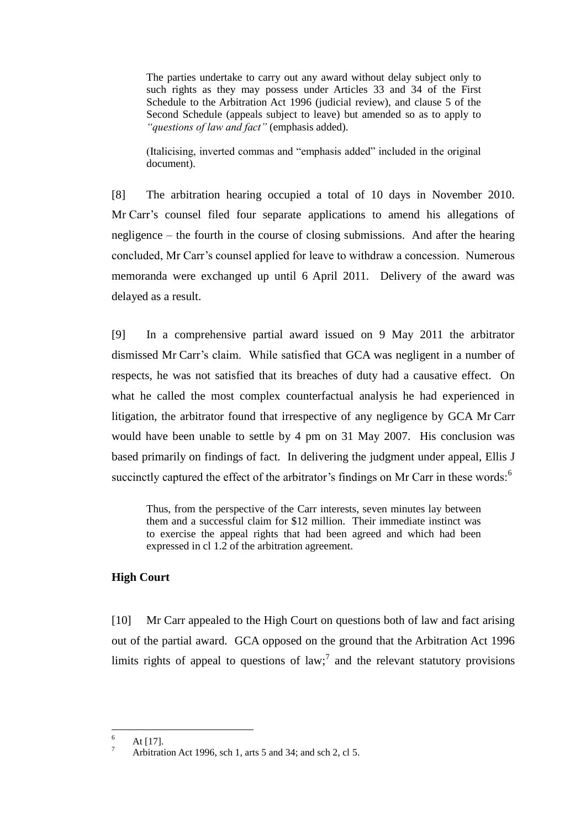The parties undertake to carry out any award without delay subject only to such rights as they may possess under Articles 33 and 34 of the First Schedule to the Arbitration Act 1996 (judicial review), and clause 5 of the Second Schedule (appeals subject to leave) but amended so as to apply to *"questions of law and fact"* (emphasis added).

(Italicising, inverted commas and "emphasis added" included in the original document).

[8] The arbitration hearing occupied a total of 10 days in November 2010. Mr Carr's counsel filed four separate applications to amend his allegations of negligence – the fourth in the course of closing submissions. And after the hearing concluded, Mr Carr's counsel applied for leave to withdraw a concession. Numerous memoranda were exchanged up until 6 April 2011. Delivery of the award was delayed as a result.

[9] In a comprehensive partial award issued on 9 May 2011 the arbitrator dismissed Mr Carr's claim. While satisfied that GCA was negligent in a number of respects, he was not satisfied that its breaches of duty had a causative effect. On what he called the most complex counterfactual analysis he had experienced in litigation, the arbitrator found that irrespective of any negligence by GCA Mr Carr would have been unable to settle by 4 pm on 31 May 2007. His conclusion was based primarily on findings of fact. In delivering the judgment under appeal, Ellis J succinctly captured the effect of the arbitrator's findings on Mr Carr in these words:<sup>6</sup>

Thus, from the perspective of the Carr interests, seven minutes lay between them and a successful claim for \$12 million. Their immediate instinct was to exercise the appeal rights that had been agreed and which had been expressed in cl 1.2 of the arbitration agreement.

## **High Court**

<span id="page-3-0"></span>[10] Mr Carr appealed to the High Court on questions both of law and fact arising out of the partial award. GCA opposed on the ground that the Arbitration Act 1996 limits rights of appeal to questions of law;<sup>7</sup> and the relevant statutory provisions

6 At [17].

Arbitration Act 1996, sch 1, arts 5 and 34; and sch 2, cl 5.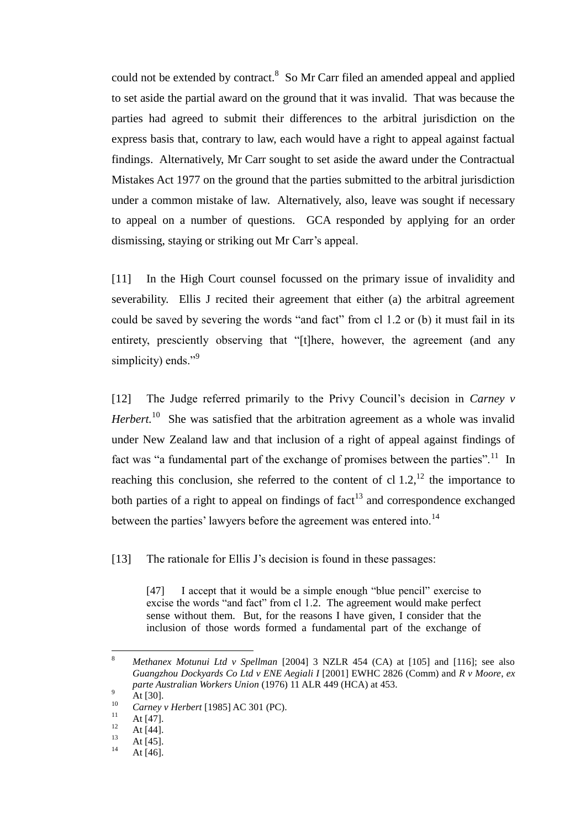could not be extended by contract.<sup>8</sup> So Mr Carr filed an amended appeal and applied to set aside the partial award on the ground that it was invalid. That was because the parties had agreed to submit their differences to the arbitral jurisdiction on the express basis that, contrary to law, each would have a right to appeal against factual findings. Alternatively, Mr Carr sought to set aside the award under the Contractual Mistakes Act 1977 on the ground that the parties submitted to the arbitral jurisdiction under a common mistake of law. Alternatively, also, leave was sought if necessary to appeal on a number of questions. GCA responded by applying for an order dismissing, staying or striking out Mr Carr's appeal.

[11] In the High Court counsel focussed on the primary issue of invalidity and severability. Ellis J recited their agreement that either (a) the arbitral agreement could be saved by severing the words "and fact" from cl 1.2 or (b) it must fail in its entirety, presciently observing that "[t]here, however, the agreement (and any simplicity) ends."<sup>9</sup>

[12] The Judge referred primarily to the Privy Council's decision in *Carney v Herbert.*<sup>10</sup> She was satisfied that the arbitration agreement as a whole was invalid under New Zealand law and that inclusion of a right of appeal against findings of fact was "a fundamental part of the exchange of promises between the parties".<sup>11</sup> In reaching this conclusion, she referred to the content of cl  $1.2$ ,  $^{12}$  the importance to both parties of a right to appeal on findings of  $fact<sup>13</sup>$  and correspondence exchanged between the parties' lawyers before the agreement was entered into.<sup>14</sup>

[13] The rationale for Ellis J's decision is found in these passages:

[47] I accept that it would be a simple enough "blue pencil" exercise to excise the words "and fact" from cl 1.2. The agreement would make perfect sense without them. But, for the reasons I have given, I consider that the inclusion of those words formed a fundamental part of the exchange of

 $\overline{a}$ 

<sup>8</sup> *Methanex Motunui Ltd v Spellman* [2004] 3 NZLR 454 (CA) at [105] and [116]; see also *Guangzhou Dockyards Co Ltd v ENE Aegiali I* [2001] EWHC 2826 (Comm) and *R v Moore*, *ex parte Australian Workers Union* (1976) 11 ALR 449 (HCA) at 453.

 $^{9}$  At [30].

<sup>&</sup>lt;sup>10</sup> *Carney v Herbert* [1985] AC 301 (PC).

 $11$  At [47].

 $12$  At [44].

 $13$  At [45].

At [46].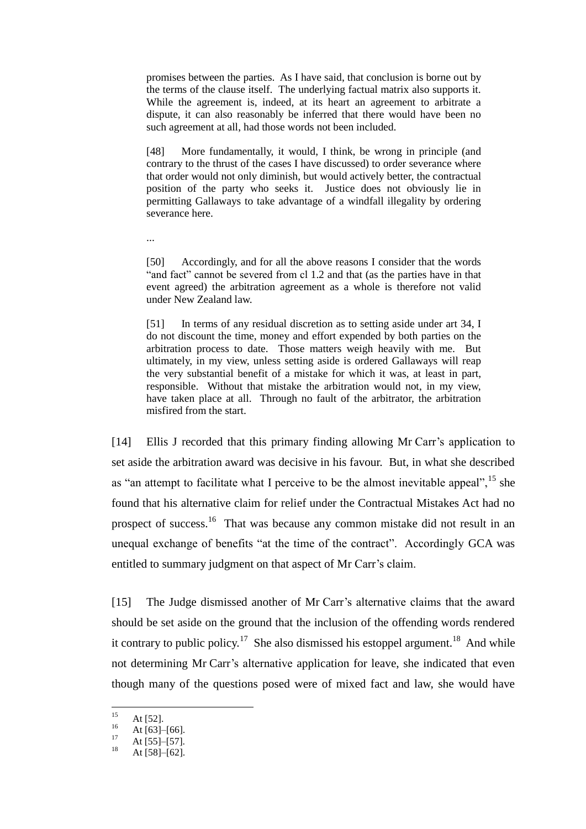promises between the parties. As I have said, that conclusion is borne out by the terms of the clause itself. The underlying factual matrix also supports it. While the agreement is, indeed, at its heart an agreement to arbitrate a dispute, it can also reasonably be inferred that there would have been no such agreement at all, had those words not been included.

[48] More fundamentally, it would, I think, be wrong in principle (and contrary to the thrust of the cases I have discussed) to order severance where that order would not only diminish, but would actively better, the contractual position of the party who seeks it. Justice does not obviously lie in permitting Gallaways to take advantage of a windfall illegality by ordering severance here.

...

[50] Accordingly, and for all the above reasons I consider that the words "and fact" cannot be severed from cl 1.2 and that (as the parties have in that event agreed) the arbitration agreement as a whole is therefore not valid under New Zealand law.

[51] In terms of any residual discretion as to setting aside under art 34, I do not discount the time, money and effort expended by both parties on the arbitration process to date. Those matters weigh heavily with me. But ultimately, in my view, unless setting aside is ordered Gallaways will reap the very substantial benefit of a mistake for which it was, at least in part, responsible. Without that mistake the arbitration would not, in my view, have taken place at all. Through no fault of the arbitrator, the arbitration misfired from the start.

[14] Ellis J recorded that this primary finding allowing Mr Carr's application to set aside the arbitration award was decisive in his favour. But, in what she described as "an attempt to facilitate what I perceive to be the almost inevitable appeal",  $^{15}$  she found that his alternative claim for relief under the Contractual Mistakes Act had no prospect of success.<sup>16</sup> That was because any common mistake did not result in an unequal exchange of benefits "at the time of the contract". Accordingly GCA was entitled to summary judgment on that aspect of Mr Carr's claim.

[15] The Judge dismissed another of Mr Carr's alternative claims that the award should be set aside on the ground that the inclusion of the offending words rendered it contrary to public policy.<sup>17</sup> She also dismissed his estoppel argument.<sup>18</sup> And while not determining Mr Carr's alternative application for leave, she indicated that even though many of the questions posed were of mixed fact and law, she would have

 $15$  $15$  At [52].

 $16 \text{ At } [63] - [66].$ 

 $17 \text{ At } [55] - [57].$ 

At [58]–[62].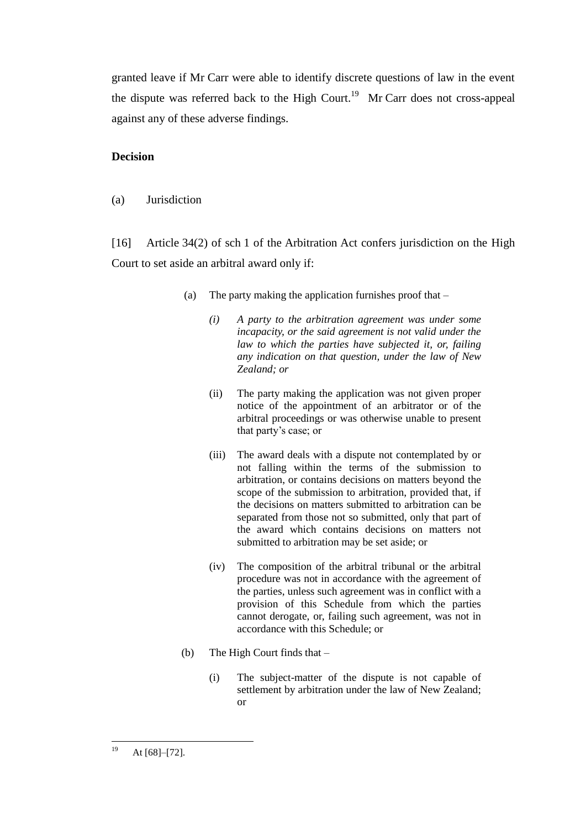granted leave if Mr Carr were able to identify discrete questions of law in the event the dispute was referred back to the High Court.<sup>19</sup> Mr Carr does not cross-appeal against any of these adverse findings.

### **Decision**

(a) Jurisdiction

<span id="page-6-0"></span>[16] Article 34(2) of sch 1 of the Arbitration Act confers jurisdiction on the High Court to set aside an arbitral award only if:

- (a) The party making the application furnishes proof that
	- *(i) A party to the arbitration agreement was under some incapacity, or the said agreement is not valid under the law to which the parties have subjected it, or, failing any indication on that question, under the law of New Zealand; or*
	- (ii) The party making the application was not given proper notice of the appointment of an arbitrator or of the arbitral proceedings or was otherwise unable to present that party's case; or
	- (iii) The award deals with a dispute not contemplated by or not falling within the terms of the submission to arbitration, or contains decisions on matters beyond the scope of the submission to arbitration, provided that, if the decisions on matters submitted to arbitration can be separated from those not so submitted, only that part of the award which contains decisions on matters not submitted to arbitration may be set aside; or
	- (iv) The composition of the arbitral tribunal or the arbitral procedure was not in accordance with the agreement of the parties, unless such agreement was in conflict with a provision of this Schedule from which the parties cannot derogate, or, failing such agreement, was not in accordance with this Schedule; or
- (b) The High Court finds that
	- (i) The subject-matter of the dispute is not capable of settlement by arbitration under the law of New Zealand; or

<sup>19</sup> At [68]–[72].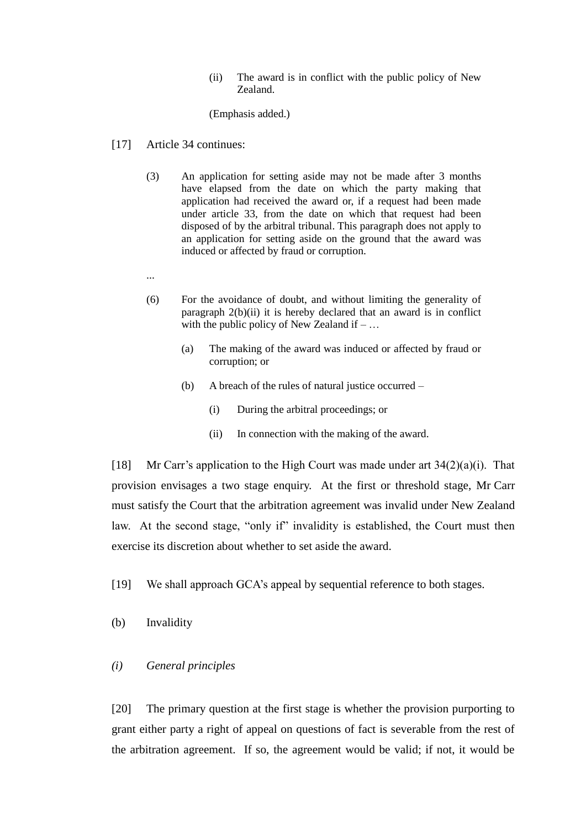(ii) The award is in conflict with the public policy of New Zealand.

(Emphasis added.)

- [17] Article 34 continues:
	- (3) An application for setting aside may not be made after 3 months have elapsed from the date on which the party making that application had received the award or, if a request had been made under article 33, from the date on which that request had been disposed of by the arbitral tribunal. This paragraph does not apply to an application for setting aside on the ground that the award was induced or affected by fraud or corruption.
	- ...
	- (6) For the avoidance of doubt, and without limiting the generality of paragraph 2(b)(ii) it is hereby declared that an award is in conflict with the public policy of New Zealand if  $-$ ...
		- (a) The making of the award was induced or affected by fraud or corruption; or
		- (b) A breach of the rules of natural justice occurred
			- (i) During the arbitral proceedings; or
			- (ii) In connection with the making of the award.

[18] Mr Carr's application to the High Court was made under art  $34(2)(a)(i)$ . That provision envisages a two stage enquiry. At the first or threshold stage, Mr Carr must satisfy the Court that the arbitration agreement was invalid under New Zealand law. At the second stage, "only if" invalidity is established, the Court must then exercise its discretion about whether to set aside the award.

- [19] We shall approach GCA's appeal by sequential reference to both stages.
- (b) Invalidity

## *(i) General principles*

<span id="page-7-0"></span>[20] The primary question at the first stage is whether the provision purporting to grant either party a right of appeal on questions of fact is severable from the rest of the arbitration agreement. If so, the agreement would be valid; if not, it would be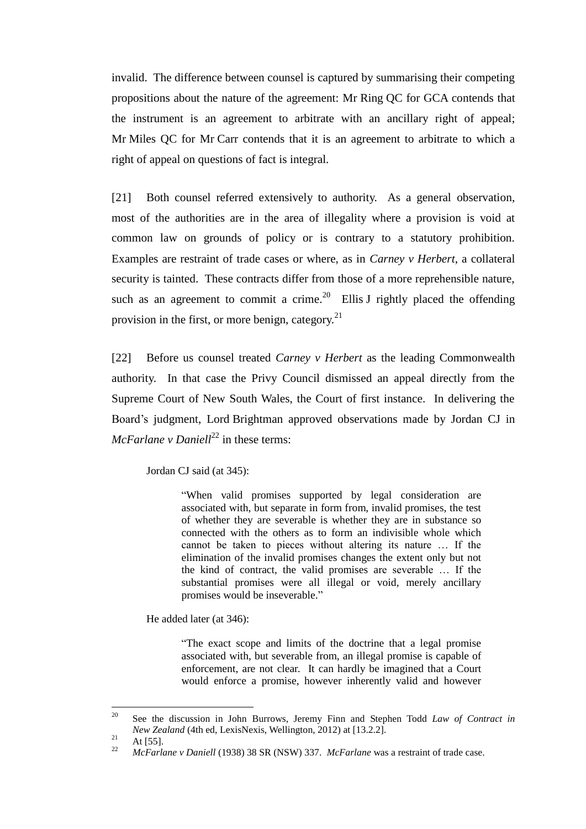invalid. The difference between counsel is captured by summarising their competing propositions about the nature of the agreement: Mr Ring QC for GCA contends that the instrument is an agreement to arbitrate with an ancillary right of appeal; Mr Miles QC for Mr Carr contends that it is an agreement to arbitrate to which a right of appeal on questions of fact is integral.

[21] Both counsel referred extensively to authority. As a general observation, most of the authorities are in the area of illegality where a provision is void at common law on grounds of policy or is contrary to a statutory prohibition. Examples are restraint of trade cases or where, as in *Carney v Herbert*, a collateral security is tainted. These contracts differ from those of a more reprehensible nature, such as an agreement to commit a crime.<sup>20</sup> Ellis J rightly placed the offending provision in the first, or more benign, category.<sup>21</sup>

[22] Before us counsel treated *Carney v Herbert* as the leading Commonwealth authority. In that case the Privy Council dismissed an appeal directly from the Supreme Court of New South Wales, the Court of first instance. In delivering the Board's judgment, Lord Brightman approved observations made by Jordan CJ in  $McFarlane \vee Daniel<sup>22</sup>$  in these terms:

Jordan CJ said (at 345):

"When valid promises supported by legal consideration are associated with, but separate in form from, invalid promises, the test of whether they are severable is whether they are in substance so connected with the others as to form an indivisible whole which cannot be taken to pieces without altering its nature … If the elimination of the invalid promises changes the extent only but not the kind of contract, the valid promises are severable … If the substantial promises were all illegal or void, merely ancillary promises would be inseverable."

He added later (at 346):

"The exact scope and limits of the doctrine that a legal promise associated with, but severable from, an illegal promise is capable of enforcement, are not clear. It can hardly be imagined that a Court would enforce a promise, however inherently valid and however

<sup>20</sup> <sup>20</sup> See the discussion in John Burrows, Jeremy Finn and Stephen Todd *Law of Contract in New Zealand* (4th ed, LexisNexis, Wellington, 2012) at [13.2.2].

 $\frac{21}{22}$  At [55].

<sup>22</sup> *McFarlane v Daniell* (1938) 38 SR (NSW) 337. *McFarlane* was a restraint of trade case.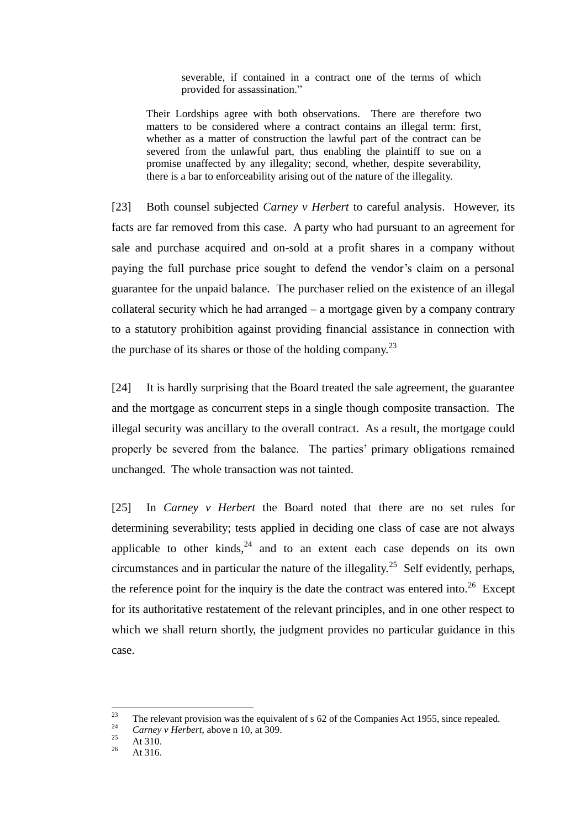severable, if contained in a contract one of the terms of which provided for assassination."

Their Lordships agree with both observations. There are therefore two matters to be considered where a contract contains an illegal term: first, whether as a matter of construction the lawful part of the contract can be severed from the unlawful part, thus enabling the plaintiff to sue on a promise unaffected by any illegality; second, whether, despite severability, there is a bar to enforceability arising out of the nature of the illegality.

[23] Both counsel subjected *Carney v Herbert* to careful analysis. However, its facts are far removed from this case. A party who had pursuant to an agreement for sale and purchase acquired and on-sold at a profit shares in a company without paying the full purchase price sought to defend the vendor's claim on a personal guarantee for the unpaid balance. The purchaser relied on the existence of an illegal collateral security which he had arranged – a mortgage given by a company contrary to a statutory prohibition against providing financial assistance in connection with the purchase of its shares or those of the holding company.<sup>23</sup>

[24] It is hardly surprising that the Board treated the sale agreement, the guarantee and the mortgage as concurrent steps in a single though composite transaction. The illegal security was ancillary to the overall contract. As a result, the mortgage could properly be severed from the balance. The parties' primary obligations remained unchanged. The whole transaction was not tainted.

[25] In *Carney v Herbert* the Board noted that there are no set rules for determining severability; tests applied in deciding one class of case are not always applicable to other kinds, $24$  and to an extent each case depends on its own circumstances and in particular the nature of the illegality.<sup>25</sup> Self evidently, perhaps, the reference point for the inquiry is the date the contract was entered into.<sup>26</sup> Except for its authoritative restatement of the relevant principles, and in one other respect to which we shall return shortly, the judgment provides no particular guidance in this case.

<sup>23</sup> <sup>23</sup> The relevant provision was the equivalent of s 62 of the Companies Act 1955, since repealed.

<sup>&</sup>lt;sup>24</sup> *Carney v Herbert*, above n 10, at 309.

 $\frac{25}{26}$  At 310.

At 316.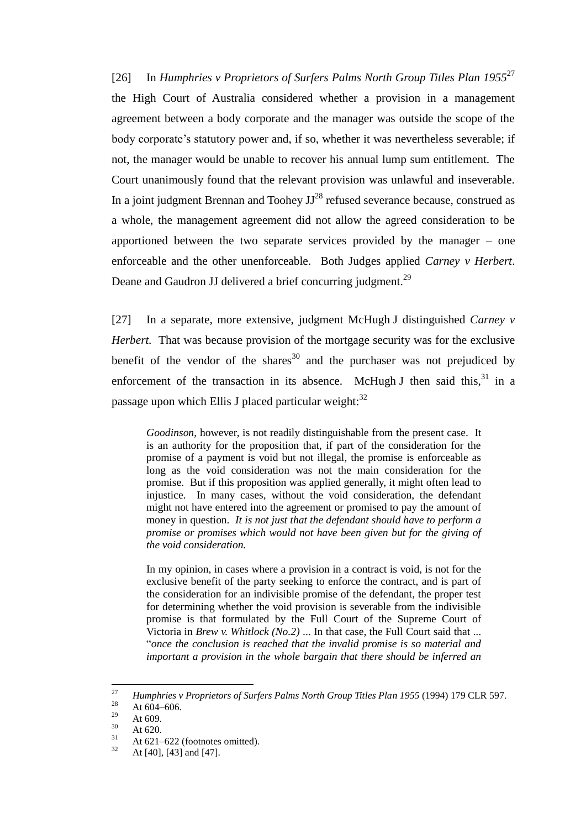[26] In *Humphries v Proprietors of Surfers Palms North Group Titles Plan 1955*<sup>27</sup> the High Court of Australia considered whether a provision in a management agreement between a body corporate and the manager was outside the scope of the body corporate's statutory power and, if so, whether it was nevertheless severable; if not, the manager would be unable to recover his annual lump sum entitlement. The Court unanimously found that the relevant provision was unlawful and inseverable. In a joint judgment Brennan and Toohey  $JJ^{28}$  refused severance because, construed as a whole, the management agreement did not allow the agreed consideration to be apportioned between the two separate services provided by the manager – one enforceable and the other unenforceable. Both Judges applied *Carney v Herbert*. Deane and Gaudron JJ delivered a brief concurring judgment.<sup>29</sup>

[27] In a separate, more extensive, judgment McHugh J distinguished *Carney v Herbert.* That was because provision of the mortgage security was for the exclusive benefit of the vendor of the shares<sup>30</sup> and the purchaser was not prejudiced by enforcement of the transaction in its absence. McHugh J then said this, $31$  in a passage upon which Ellis J placed particular weight:<sup>32</sup>

*Goodinson*, however, is not readily distinguishable from the present case. It is an authority for the proposition that, if part of the consideration for the promise of a payment is void but not illegal, the promise is enforceable as long as the void consideration was not the main consideration for the promise. But if this proposition was applied generally, it might often lead to injustice. In many cases, without the void consideration, the defendant might not have entered into the agreement or promised to pay the amount of money in question. *It is not just that the defendant should have to perform a promise or promises which would not have been given but for the giving of the void consideration.* 

In my opinion, in cases where a provision in a contract is void, is not for the exclusive benefit of the party seeking to enforce the contract, and is part of the consideration for an indivisible promise of the defendant, the proper test for determining whether the void provision is severable from the indivisible promise is that formulated by the Full Court of the Supreme Court of Victoria in *Brew v. Whitlock (No.2)* ... In that case, the Full Court said that ... "*once the conclusion is reached that the invalid promise is so material and important a provision in the whole bargain that there should be inferred an* 

<sup>27</sup> <sup>27</sup> *Humphries v Proprietors of Surfers Palms North Group Titles Plan 1955* (1994) 179 CLR 597.

<sup>&</sup>lt;sup>28</sup> At 604–606.

 $\frac{29}{30}$  At 609.

 $\frac{30}{31}$  At 620.

 $^{31}$  At 621–622 (footnotes omitted).

At [40], [43] and [47].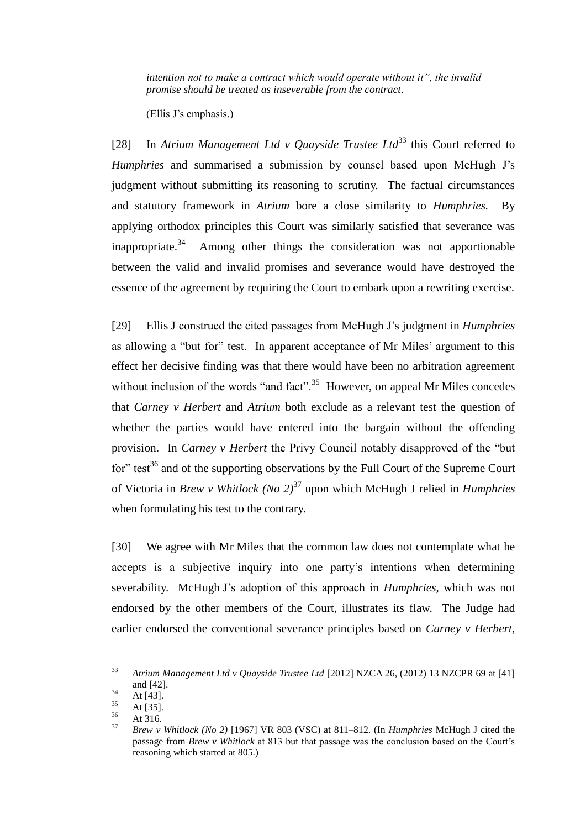*intention not to make a contract which would operate without it", the invalid promise should be treated as inseverable from the contract*.

(Ellis J's emphasis.)

[28] In *Atrium Management Ltd v Quayside Trustee Ltd*<sup>33</sup> this Court referred to *Humphries* and summarised a submission by counsel based upon McHugh J's judgment without submitting its reasoning to scrutiny. The factual circumstances and statutory framework in *Atrium* bore a close similarity to *Humphries.* By applying orthodox principles this Court was similarly satisfied that severance was inappropriate.<sup>34</sup> Among other things the consideration was not apportionable between the valid and invalid promises and severance would have destroyed the essence of the agreement by requiring the Court to embark upon a rewriting exercise.

[29] Ellis J construed the cited passages from McHugh J's judgment in *Humphries* as allowing a "but for" test. In apparent acceptance of Mr Miles' argument to this effect her decisive finding was that there would have been no arbitration agreement without inclusion of the words "and fact". $35$  However, on appeal Mr Miles concedes that *Carney v Herbert* and *Atrium* both exclude as a relevant test the question of whether the parties would have entered into the bargain without the offending provision. In *Carney v Herbert* the Privy Council notably disapproved of the "but for" test $36$  and of the supporting observations by the Full Court of the Supreme Court of Victoria in *Brew v Whitlock (No 2)*<sup>37</sup> upon which McHugh J relied in *Humphries* when formulating his test to the contrary.

[30] We agree with Mr Miles that the common law does not contemplate what he accepts is a subjective inquiry into one party's intentions when determining severability. McHugh J's adoption of this approach in *Humphries*, which was not endorsed by the other members of the Court, illustrates its flaw. The Judge had earlier endorsed the conventional severance principles based on *Carney v Herbert*,

<sup>33</sup> <sup>33</sup> *Atrium Management Ltd v Quayside Trustee Ltd* [2012] NZCA 26, (2012) 13 NZCPR 69 at [41] and [42].

 $\frac{34}{35}$  At [43].

 $\frac{35}{36}$  At [35].

 $\frac{36}{37}$  At 316.

<sup>37</sup> *Brew v Whitlock (No 2)* [1967] VR 803 (VSC) at 811–812. (In *Humphries* McHugh J cited the passage from *Brew v Whitlock* at 813 but that passage was the conclusion based on the Court's reasoning which started at 805.)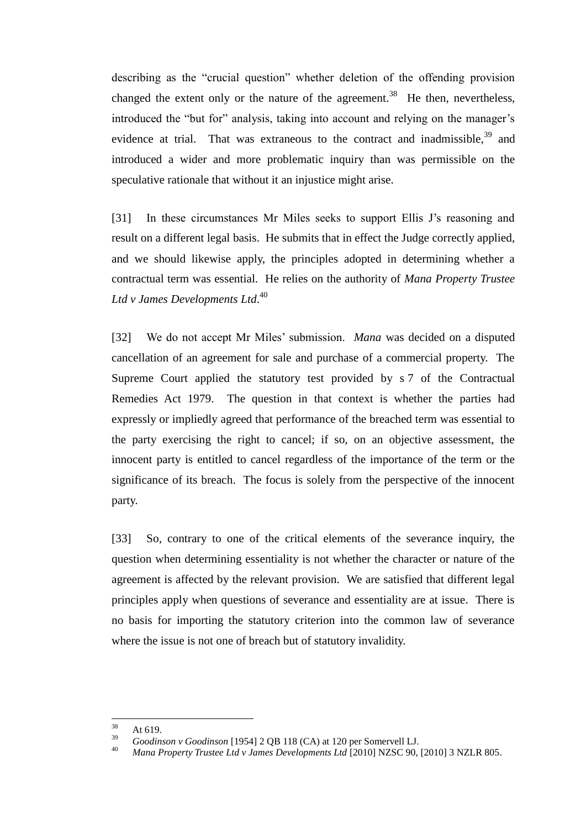describing as the "crucial question" whether deletion of the offending provision changed the extent only or the nature of the agreement.<sup>38</sup> He then, nevertheless, introduced the "but for" analysis, taking into account and relying on the manager's evidence at trial. That was extraneous to the contract and inadmissible.<sup>39</sup> and introduced a wider and more problematic inquiry than was permissible on the speculative rationale that without it an injustice might arise.

[31] In these circumstances Mr Miles seeks to support Ellis J's reasoning and result on a different legal basis. He submits that in effect the Judge correctly applied, and we should likewise apply, the principles adopted in determining whether a contractual term was essential. He relies on the authority of *Mana Property Trustee Ltd v James Developments Ltd*. 40

[32] We do not accept Mr Miles' submission. *Mana* was decided on a disputed cancellation of an agreement for sale and purchase of a commercial property. The Supreme Court applied the statutory test provided by s 7 of the Contractual Remedies Act 1979. The question in that context is whether the parties had expressly or impliedly agreed that performance of the breached term was essential to the party exercising the right to cancel; if so, on an objective assessment, the innocent party is entitled to cancel regardless of the importance of the term or the significance of its breach. The focus is solely from the perspective of the innocent party.

[33] So, contrary to one of the critical elements of the severance inquiry, the question when determining essentiality is not whether the character or nature of the agreement is affected by the relevant provision. We are satisfied that different legal principles apply when questions of severance and essentiality are at issue. There is no basis for importing the statutory criterion into the common law of severance where the issue is not one of breach but of statutory invalidity.

<sup>38</sup>  $\frac{38}{39}$  At 619.

<sup>&</sup>lt;sup>39</sup> *Goodinson v Goodinson* [1954] 2 QB 118 (CA) at 120 per Somervell LJ.

<sup>40</sup> *Mana Property Trustee Ltd v James Developments Ltd* [2010] NZSC 90, [2010] 3 NZLR 805.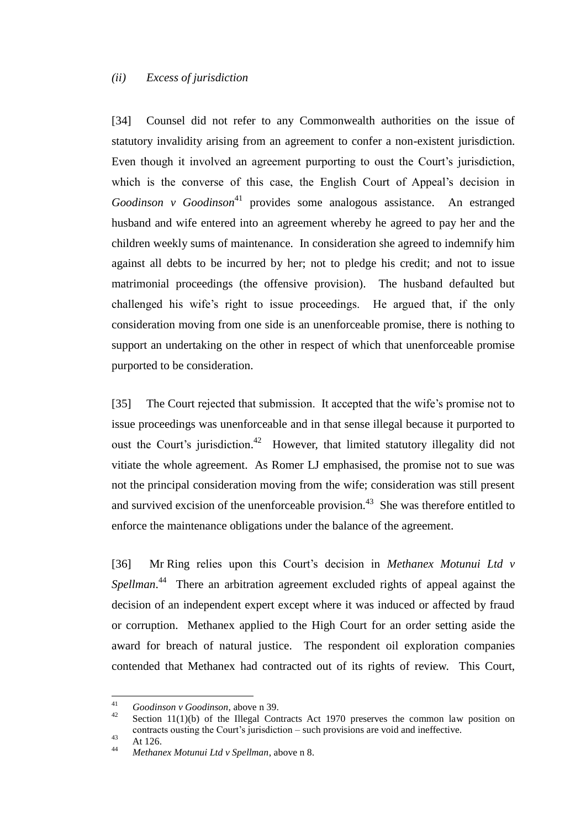#### *(ii) Excess of jurisdiction*

<span id="page-13-0"></span>[34] Counsel did not refer to any Commonwealth authorities on the issue of statutory invalidity arising from an agreement to confer a non-existent jurisdiction. Even though it involved an agreement purporting to oust the Court's jurisdiction, which is the converse of this case, the English Court of Appeal's decision in *Goodinson v Goodinson*<sup>41</sup> provides some analogous assistance. An estranged husband and wife entered into an agreement whereby he agreed to pay her and the children weekly sums of maintenance. In consideration she agreed to indemnify him against all debts to be incurred by her; not to pledge his credit; and not to issue matrimonial proceedings (the offensive provision). The husband defaulted but challenged his wife's right to issue proceedings. He argued that, if the only consideration moving from one side is an unenforceable promise, there is nothing to support an undertaking on the other in respect of which that unenforceable promise purported to be consideration.

[35] The Court rejected that submission. It accepted that the wife's promise not to issue proceedings was unenforceable and in that sense illegal because it purported to oust the Court's jurisdiction.<sup>42</sup> However, that limited statutory illegality did not vitiate the whole agreement. As Romer LJ emphasised, the promise not to sue was not the principal consideration moving from the wife; consideration was still present and survived excision of the unenforceable provision.<sup>43</sup> She was therefore entitled to enforce the maintenance obligations under the balance of the agreement.

[36] Mr Ring relies upon this Court's decision in *Methanex Motunui Ltd v*  Spellman.<sup>44</sup> There an arbitration agreement excluded rights of appeal against the decision of an independent expert except where it was induced or affected by fraud or corruption. Methanex applied to the High Court for an order setting aside the award for breach of natural justice. The respondent oil exploration companies contended that Methanex had contracted out of its rights of review. This Court,

 $\overline{41}$ <sup>41</sup> *Goodinson v Goodinson*, above n 39.

Section  $11(1)(b)$  of the Illegal Contracts Act 1970 preserves the common law position on contracts ousting the Court's jurisdiction – such provisions are void and ineffective.

 $43$  At 126.

<sup>44</sup> *Methanex Motunui Ltd v Spellman*, above n 8.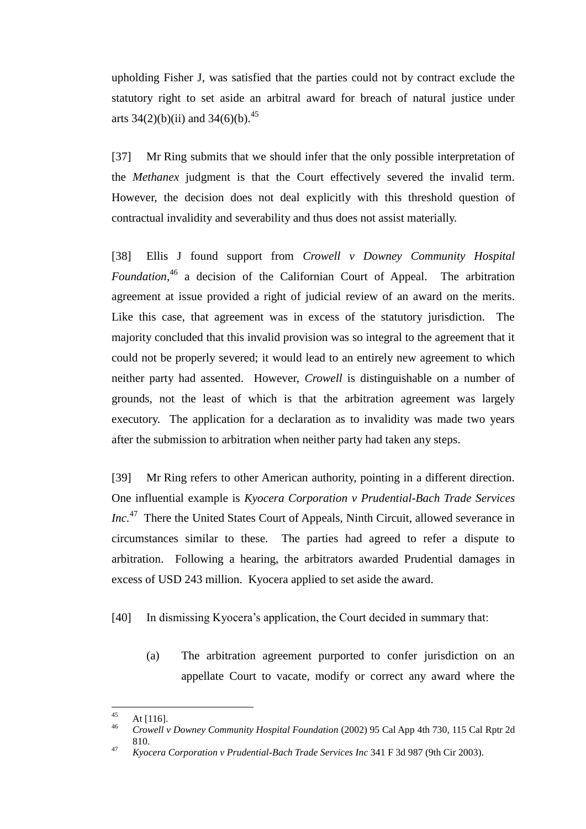upholding Fisher J, was satisfied that the parties could not by contract exclude the statutory right to set aside an arbitral award for breach of natural justice under arts 34(2)(b)(ii) and 34(6)(b).<sup>45</sup>

[37] Mr Ring submits that we should infer that the only possible interpretation of the *Methanex* judgment is that the Court effectively severed the invalid term. However, the decision does not deal explicitly with this threshold question of contractual invalidity and severability and thus does not assist materially.

[38] Ellis J found support from *Crowell v Downey Community Hospital Foundation*, <sup>46</sup> a decision of the Californian Court of Appeal. The arbitration agreement at issue provided a right of judicial review of an award on the merits. Like this case, that agreement was in excess of the statutory jurisdiction. The majority concluded that this invalid provision was so integral to the agreement that it could not be properly severed; it would lead to an entirely new agreement to which neither party had assented. However, *Crowell* is distinguishable on a number of grounds, not the least of which is that the arbitration agreement was largely executory. The application for a declaration as to invalidity was made two years after the submission to arbitration when neither party had taken any steps.

[39] Mr Ring refers to other American authority, pointing in a different direction. One influential example is *Kyocera Corporation v Prudential-Bach Trade Services Inc.*<sup>47</sup> There the United States Court of Appeals, Ninth Circuit, allowed severance in circumstances similar to these. The parties had agreed to refer a dispute to arbitration. Following a hearing, the arbitrators awarded Prudential damages in excess of USD 243 million. Kyocera applied to set aside the award.

[40] In dismissing Kyocera's application, the Court decided in summary that:

(a) The arbitration agreement purported to confer jurisdiction on an appellate Court to vacate, modify or correct any award where the

 $45$  $45$  At [116].

<sup>46</sup> *Crowell v Downey Community Hospital Foundation* (2002) 95 Cal App 4th 730, 115 Cal Rptr 2d 810.

<sup>47</sup> *Kyocera Corporation v Prudential-Bach Trade Services Inc* 341 F 3d 987 (9th Cir 2003).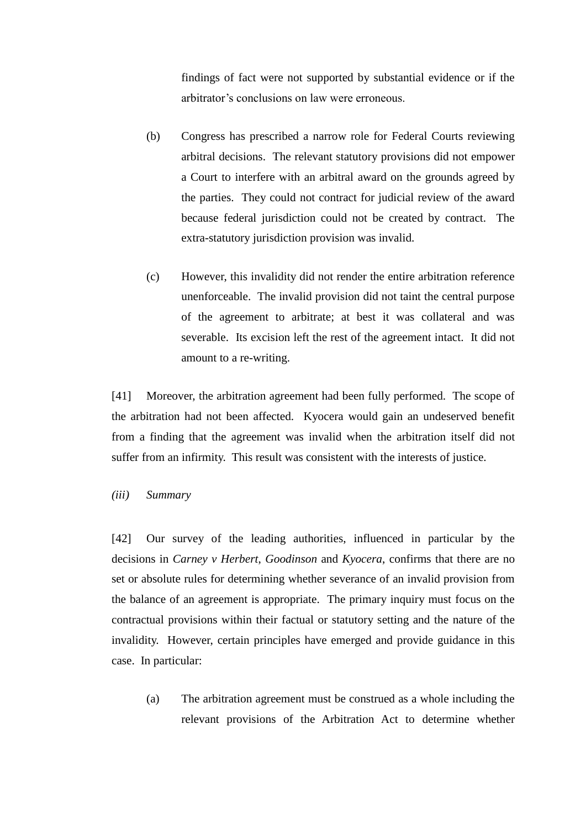findings of fact were not supported by substantial evidence or if the arbitrator's conclusions on law were erroneous.

- (b) Congress has prescribed a narrow role for Federal Courts reviewing arbitral decisions. The relevant statutory provisions did not empower a Court to interfere with an arbitral award on the grounds agreed by the parties. They could not contract for judicial review of the award because federal jurisdiction could not be created by contract. The extra-statutory jurisdiction provision was invalid.
- (c) However, this invalidity did not render the entire arbitration reference unenforceable. The invalid provision did not taint the central purpose of the agreement to arbitrate; at best it was collateral and was severable. Its excision left the rest of the agreement intact. It did not amount to a re-writing.

[41] Moreover, the arbitration agreement had been fully performed. The scope of the arbitration had not been affected. Kyocera would gain an undeserved benefit from a finding that the agreement was invalid when the arbitration itself did not suffer from an infirmity. This result was consistent with the interests of justice.

### *(iii) Summary*

<span id="page-15-0"></span>[42] Our survey of the leading authorities, influenced in particular by the decisions in *Carney v Herbert*, *Goodinson* and *Kyocera*, confirms that there are no set or absolute rules for determining whether severance of an invalid provision from the balance of an agreement is appropriate. The primary inquiry must focus on the contractual provisions within their factual or statutory setting and the nature of the invalidity. However, certain principles have emerged and provide guidance in this case. In particular:

(a) The arbitration agreement must be construed as a whole including the relevant provisions of the Arbitration Act to determine whether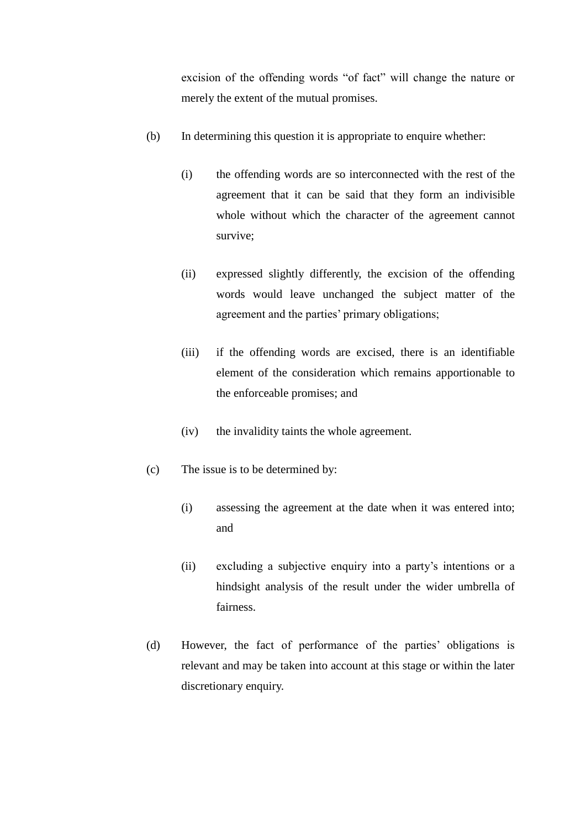excision of the offending words "of fact" will change the nature or merely the extent of the mutual promises.

- (b) In determining this question it is appropriate to enquire whether:
	- (i) the offending words are so interconnected with the rest of the agreement that it can be said that they form an indivisible whole without which the character of the agreement cannot survive;
	- (ii) expressed slightly differently, the excision of the offending words would leave unchanged the subject matter of the agreement and the parties' primary obligations;
	- (iii) if the offending words are excised, there is an identifiable element of the consideration which remains apportionable to the enforceable promises; and
	- (iv) the invalidity taints the whole agreement.
- (c) The issue is to be determined by:
	- (i) assessing the agreement at the date when it was entered into; and
	- (ii) excluding a subjective enquiry into a party's intentions or a hindsight analysis of the result under the wider umbrella of fairness.
- (d) However, the fact of performance of the parties' obligations is relevant and may be taken into account at this stage or within the later discretionary enquiry.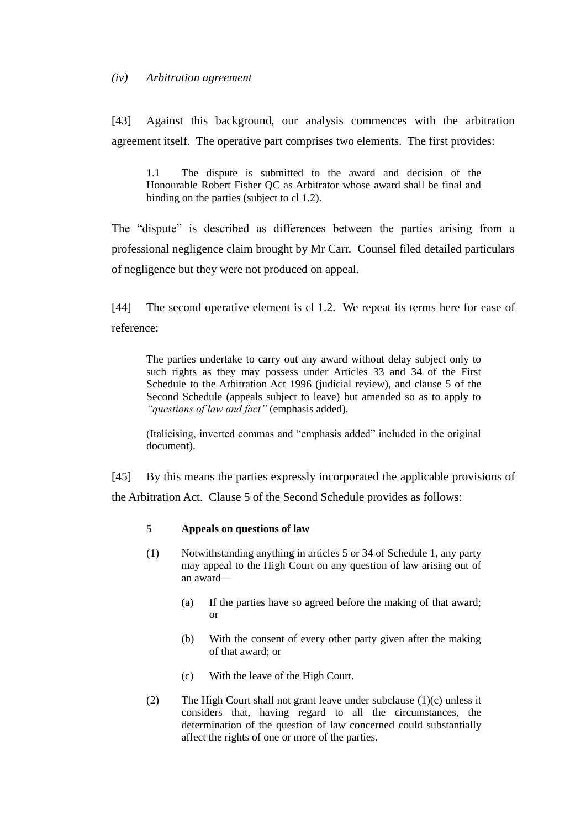### *(iv) Arbitration agreement*

<span id="page-17-0"></span>[43] Against this background, our analysis commences with the arbitration agreement itself. The operative part comprises two elements. The first provides:

1.1 The dispute is submitted to the award and decision of the Honourable Robert Fisher QC as Arbitrator whose award shall be final and binding on the parties (subject to cl 1.2).

The "dispute" is described as differences between the parties arising from a professional negligence claim brought by Mr Carr. Counsel filed detailed particulars of negligence but they were not produced on appeal.

[44] The second operative element is cl 1.2. We repeat its terms here for ease of reference:

The parties undertake to carry out any award without delay subject only to such rights as they may possess under Articles 33 and 34 of the First Schedule to the Arbitration Act 1996 (judicial review), and clause 5 of the Second Schedule (appeals subject to leave) but amended so as to apply to *"questions of law and fact"* (emphasis added).

(Italicising, inverted commas and "emphasis added" included in the original document).

[45] By this means the parties expressly incorporated the applicable provisions of the Arbitration Act. Clause 5 of the Second Schedule provides as follows:

## **5 Appeals on questions of law**

- (1) Notwithstanding anything in articles [5](http://www.brookersonline.co.nz/databases/modus/lawpart/statutes/link?id=ACT-NZL-PUB-Y.1996-99%7eEND%7eSCHG%7eSCH.1%7eCHP.1%7eART.5&si=15&sid=6dw5ra7qu14b5lnckoeun3jonn2e7kpd&hli=0&sp=mcg) or [34](http://www.brookersonline.co.nz/databases/modus/lawpart/statutes/link?id=ACT-NZL-PUB-Y.1996-99%7eEND%7eSCHG%7eSCH.1%7eCHP.7%7eART.34&si=15&sid=6dw5ra7qu14b5lnckoeun3jonn2e7kpd&hli=0&sp=mcg) of Schedule 1, any party may appeal to the High Court on any question of law arising out of an award—
	- (a) If the parties have so agreed before the making of that award; or
	- (b) With the consent of every other party given after the making of that award; or
	- (c) With the leave of the High Court.
- (2) The High Court shall not grant leave under subclause [\(1\)\(c\)](http://www.brookersonline.co.nz/databases/modus/lawpart/statutes/link?id=ACT-NZL-PUB-Y.1996-99%7eEND%7eSCHG%7eSCH.2%7eCL.5%7eSCL.1%7eP.c&si=15&sid=6dw5ra7qu14b5lnckoeun3jonn2e7kpd&hli=0&sp=mcg) unless it considers that, having regard to all the circumstances, the determination of the question of law concerned could substantially affect the rights of one or more of the parties.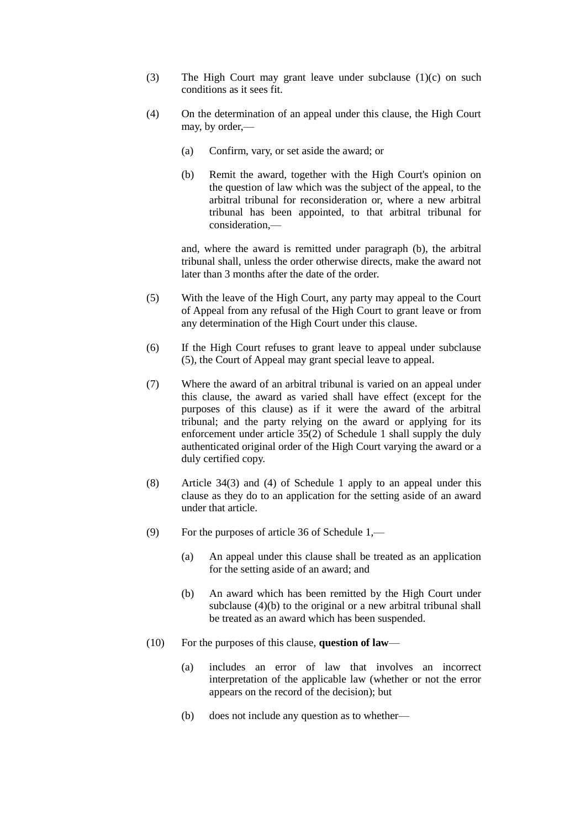- (3) The High Court may grant leave under subclause [\(1\)\(c\)](http://www.brookersonline.co.nz/databases/modus/lawpart/statutes/link?id=ACT-NZL-PUB-Y.1996-99%7eEND%7eSCHG%7eSCH.2%7eCL.5%7eSCL.1%7eP.c&si=15&sid=6dw5ra7qu14b5lnckoeun3jonn2e7kpd&hli=0&sp=mcg) on such conditions as it sees fit.
- (4) On the determination of an appeal under this clause, the High Court may, by order,—
	- (a) Confirm, vary, or set aside the award; or
	- (b) Remit the award, together with the High Court's opinion on the question of law which was the subject of the appeal, to the arbitral tribunal for reconsideration or, where a new arbitral tribunal has been appointed, to that arbitral tribunal for consideration,—

and, where the award is remitted under paragraph [\(b\),](http://www.brookersonline.co.nz/databases/modus/lawpart/statutes/link?id=ACT-NZL-PUB-Y.1996-99%7eEND%7eSCHG%7eSCH.2%7eCL.5%7eSCL.4%7eP.b&si=15&sid=6dw5ra7qu14b5lnckoeun3jonn2e7kpd&hli=0&sp=mcg) the arbitral tribunal shall, unless the order otherwise directs, make the award not later than 3 months after the date of the order.

- (5) With the leave of the High Court, any party may appeal to the Court of Appeal from any refusal of the High Court to grant leave or from any determination of the High Court under this clause.
- (6) If the High Court refuses to grant leave to appeal under subclause [\(5\),](http://www.brookersonline.co.nz/databases/modus/lawpart/statutes/link?id=ACT-NZL-PUB-Y.1996-99%7eEND%7eSCHG%7eSCH.2%7eCL.5%7eSCL.5&si=15&sid=6dw5ra7qu14b5lnckoeun3jonn2e7kpd&hli=0&sp=mcg) the Court of Appeal may grant special leave to appeal.
- (7) Where the award of an arbitral tribunal is varied on an appeal under this clause, the award as varied shall have effect (except for the purposes of this clause) as if it were the award of the arbitral tribunal; and the party relying on the award or applying for its enforcement under article [35\(2\)](http://www.brookersonline.co.nz/databases/modus/lawpart/statutes/link?id=ACT-NZL-PUB-Y.1996-99%7eEND%7eSCHG%7eSCH.1%7eCHP.8%7eART.35%7eSART.2&si=15&sid=6dw5ra7qu14b5lnckoeun3jonn2e7kpd&hli=0&sp=mcg) of Schedule 1 shall supply the duly authenticated original order of the High Court varying the award or a duly certified copy.
- (8) Article [34\(3\)](http://www.brookersonline.co.nz/databases/modus/lawpart/statutes/link?id=ACT-NZL-PUB-Y.1996-99%7eEND%7eSCHG%7eSCH.1%7eCHP.7%7eART.34%7eSART.3&si=15&sid=6dw5ra7qu14b5lnckoeun3jonn2e7kpd&hli=0&sp=mcg) and [\(4\)](http://www.brookersonline.co.nz/databases/modus/lawpart/statutes/link?id=ACT-NZL-PUB-Y.1996-99%7eEND%7eSCHG%7eSCH.1%7eCHP.7%7eART.34%7eSART.4&si=15&sid=6dw5ra7qu14b5lnckoeun3jonn2e7kpd&hli=0&sp=mcg) of Schedule 1 apply to an appeal under this clause as they do to an application for the setting aside of an award under that article.
- (9) For the purposes of article [36](http://www.brookersonline.co.nz/databases/modus/lawpart/statutes/link?id=ACT-NZL-PUB-Y.1996-99%7eEND%7eSCHG%7eSCH.1%7eCHP.8%7eART.36&si=15&sid=6dw5ra7qu14b5lnckoeun3jonn2e7kpd&hli=0&sp=mcg) of Schedule 1,—
	- (a) An appeal under this clause shall be treated as an application for the setting aside of an award; and
	- (b) An award which has been remitted by the High Court under subclause (4)(b) to the original or a new arbitral tribunal shall be treated as an award which has been suspended.
- (10) For the purposes of this clause, **question of law**
	- (a) includes an error of law that involves an incorrect interpretation of the applicable law (whether or not the error appears on the record of the decision); but
	- (b) does not include any question as to whether—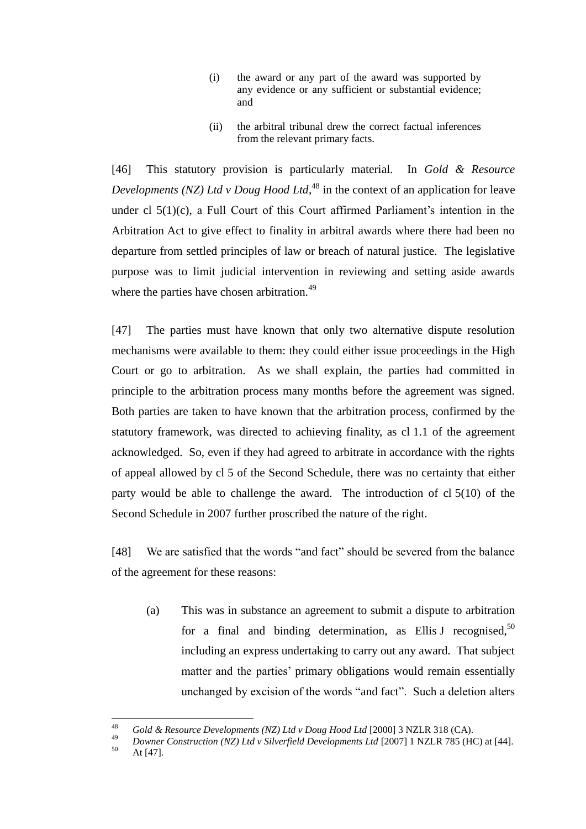- (i) the award or any part of the award was supported by any evidence or any sufficient or substantial evidence; and
- (ii) the arbitral tribunal drew the correct factual inferences from the relevant primary facts.

[46] This statutory provision is particularly material. In *Gold & Resource Developments (NZ) Ltd v Doug Hood Ltd*, <sup>48</sup> in the context of an application for leave under cl 5(1)(c), a Full Court of this Court affirmed Parliament's intention in the Arbitration Act to give effect to finality in arbitral awards where there had been no departure from settled principles of law or breach of natural justice. The legislative purpose was to limit judicial intervention in reviewing and setting aside awards where the parties have chosen arbitration.<sup>49</sup>

[47] The parties must have known that only two alternative dispute resolution mechanisms were available to them: they could either issue proceedings in the High Court or go to arbitration. As we shall explain, the parties had committed in principle to the arbitration process many months before the agreement was signed. Both parties are taken to have known that the arbitration process, confirmed by the statutory framework, was directed to achieving finality, as cl 1.1 of the agreement acknowledged. So, even if they had agreed to arbitrate in accordance with the rights of appeal allowed by cl 5 of the Second Schedule, there was no certainty that either party would be able to challenge the award. The introduction of cl 5(10) of the Second Schedule in 2007 further proscribed the nature of the right.

[48] We are satisfied that the words "and fact" should be severed from the balance of the agreement for these reasons:

(a) This was in substance an agreement to submit a dispute to arbitration for a final and binding determination, as Ellis J recognised,  $50$ including an express undertaking to carry out any award. That subject matter and the parties' primary obligations would remain essentially unchanged by excision of the words "and fact". Such a deletion alters

<sup>48</sup> <sup>48</sup> *Gold & Resource Developments (NZ) Ltd v Doug Hood Ltd* [2000] 3 NZLR 318 (CA).

<sup>&</sup>lt;sup>49</sup> *Downer Construction (NZ) Ltd v Silverfield Developments Ltd* [2007] 1 NZLR 785 (HC) at [44].

At [47].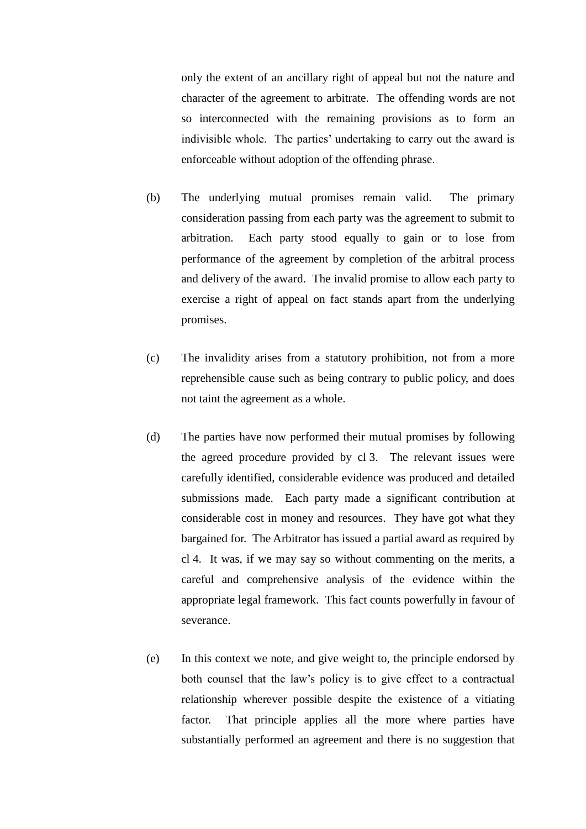only the extent of an ancillary right of appeal but not the nature and character of the agreement to arbitrate. The offending words are not so interconnected with the remaining provisions as to form an indivisible whole. The parties' undertaking to carry out the award is enforceable without adoption of the offending phrase.

- (b) The underlying mutual promises remain valid. The primary consideration passing from each party was the agreement to submit to arbitration. Each party stood equally to gain or to lose from performance of the agreement by completion of the arbitral process and delivery of the award. The invalid promise to allow each party to exercise a right of appeal on fact stands apart from the underlying promises.
- (c) The invalidity arises from a statutory prohibition, not from a more reprehensible cause such as being contrary to public policy, and does not taint the agreement as a whole.
- (d) The parties have now performed their mutual promises by following the agreed procedure provided by cl 3. The relevant issues were carefully identified, considerable evidence was produced and detailed submissions made. Each party made a significant contribution at considerable cost in money and resources. They have got what they bargained for. The Arbitrator has issued a partial award as required by cl 4. It was, if we may say so without commenting on the merits, a careful and comprehensive analysis of the evidence within the appropriate legal framework. This fact counts powerfully in favour of severance.
- (e) In this context we note, and give weight to, the principle endorsed by both counsel that the law's policy is to give effect to a contractual relationship wherever possible despite the existence of a vitiating factor. That principle applies all the more where parties have substantially performed an agreement and there is no suggestion that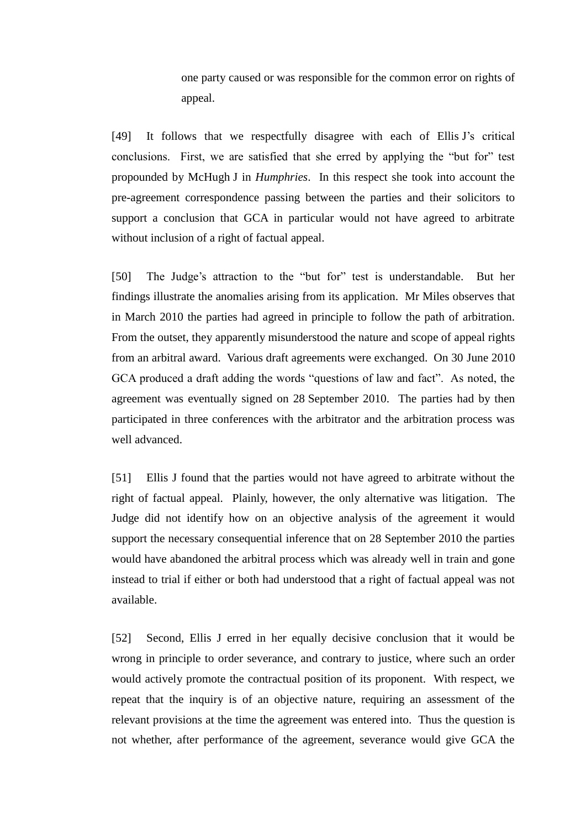one party caused or was responsible for the common error on rights of appeal.

[49] It follows that we respectfully disagree with each of Ellis J's critical conclusions. First, we are satisfied that she erred by applying the "but for" test propounded by McHugh J in *Humphries*. In this respect she took into account the pre-agreement correspondence passing between the parties and their solicitors to support a conclusion that GCA in particular would not have agreed to arbitrate without inclusion of a right of factual appeal.

[50] The Judge's attraction to the "but for" test is understandable. But her findings illustrate the anomalies arising from its application. Mr Miles observes that in March 2010 the parties had agreed in principle to follow the path of arbitration. From the outset, they apparently misunderstood the nature and scope of appeal rights from an arbitral award. Various draft agreements were exchanged. On 30 June 2010 GCA produced a draft adding the words "questions of law and fact". As noted, the agreement was eventually signed on 28 September 2010. The parties had by then participated in three conferences with the arbitrator and the arbitration process was well advanced.

[51] Ellis J found that the parties would not have agreed to arbitrate without the right of factual appeal. Plainly, however, the only alternative was litigation. The Judge did not identify how on an objective analysis of the agreement it would support the necessary consequential inference that on 28 September 2010 the parties would have abandoned the arbitral process which was already well in train and gone instead to trial if either or both had understood that a right of factual appeal was not available.

[52] Second, Ellis J erred in her equally decisive conclusion that it would be wrong in principle to order severance, and contrary to justice, where such an order would actively promote the contractual position of its proponent. With respect, we repeat that the inquiry is of an objective nature, requiring an assessment of the relevant provisions at the time the agreement was entered into. Thus the question is not whether, after performance of the agreement, severance would give GCA the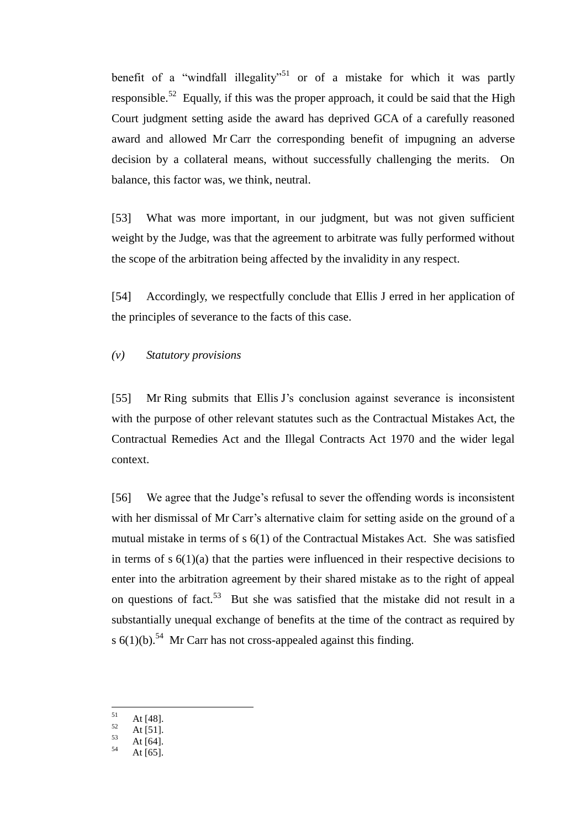benefit of a "windfall illegality"<sup>51</sup> or of a mistake for which it was partly responsible.<sup>52</sup> Equally, if this was the proper approach, it could be said that the High Court judgment setting aside the award has deprived GCA of a carefully reasoned award and allowed Mr Carr the corresponding benefit of impugning an adverse decision by a collateral means, without successfully challenging the merits. On balance, this factor was, we think, neutral.

[53] What was more important, in our judgment, but was not given sufficient weight by the Judge, was that the agreement to arbitrate was fully performed without the scope of the arbitration being affected by the invalidity in any respect.

[54] Accordingly, we respectfully conclude that Ellis J erred in her application of the principles of severance to the facts of this case.

### *(v) Statutory provisions*

<span id="page-22-0"></span>[55] Mr Ring submits that Ellis J's conclusion against severance is inconsistent with the purpose of other relevant statutes such as the Contractual Mistakes Act, the Contractual Remedies Act and the Illegal Contracts Act 1970 and the wider legal context.

[56] We agree that the Judge's refusal to sever the offending words is inconsistent with her dismissal of Mr Carr's alternative claim for setting aside on the ground of a mutual mistake in terms of s 6(1) of the Contractual Mistakes Act. She was satisfied in terms of  $s \ 6(1)(a)$  that the parties were influenced in their respective decisions to enter into the arbitration agreement by their shared mistake as to the right of appeal on questions of fact.<sup>53</sup> But she was satisfied that the mistake did not result in a substantially unequal exchange of benefits at the time of the contract as required by s  $6(1)(b)$ .<sup>54</sup> Mr Carr has not cross-appealed against this finding.

<sup>51</sup>  $\frac{51}{52}$  At [48].

 $52$  At [51].

 $53$  At [64].

At  $[65]$ .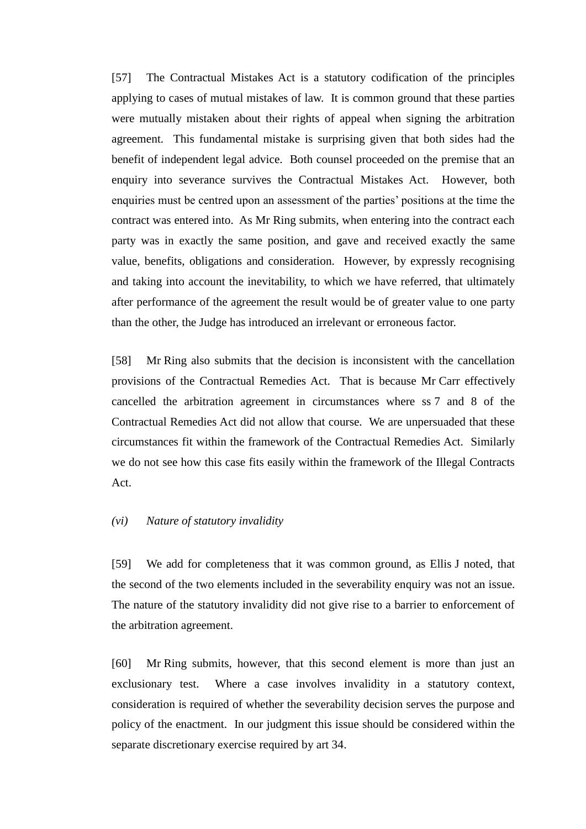[57] The Contractual Mistakes Act is a statutory codification of the principles applying to cases of mutual mistakes of law. It is common ground that these parties were mutually mistaken about their rights of appeal when signing the arbitration agreement. This fundamental mistake is surprising given that both sides had the benefit of independent legal advice. Both counsel proceeded on the premise that an enquiry into severance survives the Contractual Mistakes Act. However, both enquiries must be centred upon an assessment of the parties' positions at the time the contract was entered into. As Mr Ring submits, when entering into the contract each party was in exactly the same position, and gave and received exactly the same value, benefits, obligations and consideration. However, by expressly recognising and taking into account the inevitability, to which we have referred, that ultimately after performance of the agreement the result would be of greater value to one party than the other, the Judge has introduced an irrelevant or erroneous factor.

[58] Mr Ring also submits that the decision is inconsistent with the cancellation provisions of the Contractual Remedies Act. That is because Mr Carr effectively cancelled the arbitration agreement in circumstances where ss 7 and 8 of the Contractual Remedies Act did not allow that course. We are unpersuaded that these circumstances fit within the framework of the Contractual Remedies Act. Similarly we do not see how this case fits easily within the framework of the Illegal Contracts Act.

### *(vi) Nature of statutory invalidity*

<span id="page-23-0"></span>[59] We add for completeness that it was common ground, as Ellis J noted, that the second of the two elements included in the severability enquiry was not an issue. The nature of the statutory invalidity did not give rise to a barrier to enforcement of the arbitration agreement.

[60] Mr Ring submits, however, that this second element is more than just an exclusionary test. Where a case involves invalidity in a statutory context, consideration is required of whether the severability decision serves the purpose and policy of the enactment. In our judgment this issue should be considered within the separate discretionary exercise required by art 34.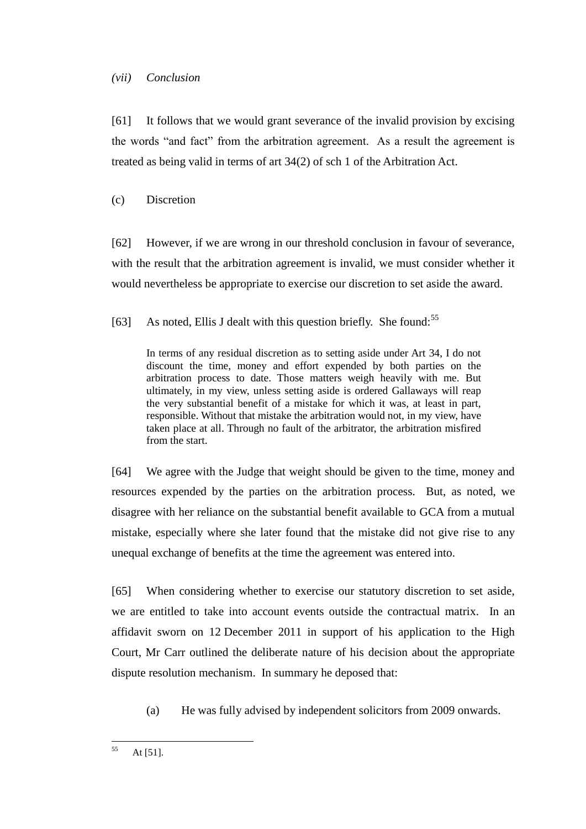### *(vii) Conclusion*

<span id="page-24-0"></span>[61] It follows that we would grant severance of the invalid provision by excising the words "and fact" from the arbitration agreement. As a result the agreement is treated as being valid in terms of art 34(2) of sch 1 of the Arbitration Act.

# (c) Discretion

<span id="page-24-1"></span>[62] However, if we are wrong in our threshold conclusion in favour of severance, with the result that the arbitration agreement is invalid, we must consider whether it would nevertheless be appropriate to exercise our discretion to set aside the award.

[63] As noted, Ellis J dealt with this question briefly. She found:<sup>55</sup>

In terms of any residual discretion as to setting aside under Art 34, I do not discount the time, money and effort expended by both parties on the arbitration process to date. Those matters weigh heavily with me. But ultimately, in my view, unless setting aside is ordered Gallaways will reap the very substantial benefit of a mistake for which it was, at least in part, responsible. Without that mistake the arbitration would not, in my view, have taken place at all. Through no fault of the arbitrator, the arbitration misfired from the start.

[64] We agree with the Judge that weight should be given to the time, money and resources expended by the parties on the arbitration process. But, as noted, we disagree with her reliance on the substantial benefit available to GCA from a mutual mistake, especially where she later found that the mistake did not give rise to any unequal exchange of benefits at the time the agreement was entered into.

[65] When considering whether to exercise our statutory discretion to set aside, we are entitled to take into account events outside the contractual matrix. In an affidavit sworn on 12 December 2011 in support of his application to the High Court, Mr Carr outlined the deliberate nature of his decision about the appropriate dispute resolution mechanism. In summary he deposed that:

(a) He was fully advised by independent solicitors from 2009 onwards.

<sup>55</sup> At  $[51]$ .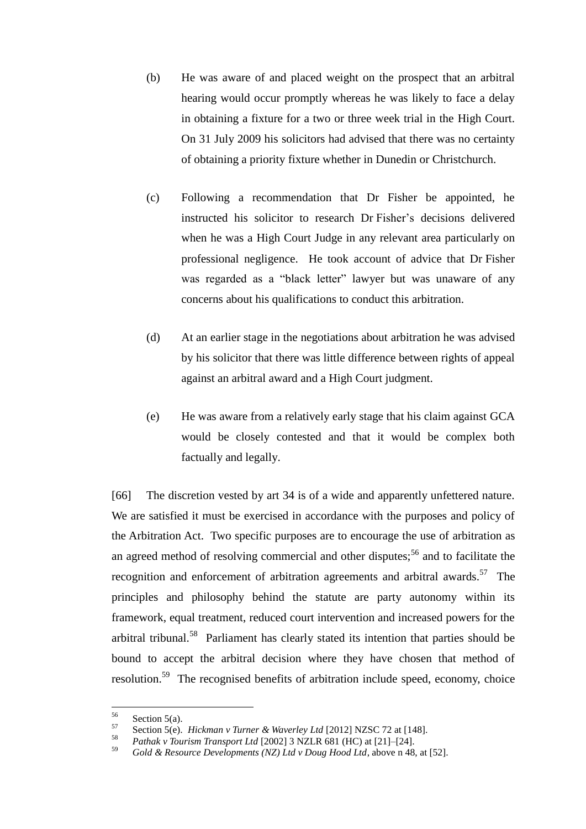- (b) He was aware of and placed weight on the prospect that an arbitral hearing would occur promptly whereas he was likely to face a delay in obtaining a fixture for a two or three week trial in the High Court. On 31 July 2009 his solicitors had advised that there was no certainty of obtaining a priority fixture whether in Dunedin or Christchurch.
- (c) Following a recommendation that Dr Fisher be appointed, he instructed his solicitor to research Dr Fisher's decisions delivered when he was a High Court Judge in any relevant area particularly on professional negligence. He took account of advice that Dr Fisher was regarded as a "black letter" lawyer but was unaware of any concerns about his qualifications to conduct this arbitration.
- (d) At an earlier stage in the negotiations about arbitration he was advised by his solicitor that there was little difference between rights of appeal against an arbitral award and a High Court judgment.
- (e) He was aware from a relatively early stage that his claim against GCA would be closely contested and that it would be complex both factually and legally.

[66] The discretion vested by art 34 is of a wide and apparently unfettered nature. We are satisfied it must be exercised in accordance with the purposes and policy of the Arbitration Act. Two specific purposes are to encourage the use of arbitration as an agreed method of resolving commercial and other disputes;<sup>56</sup> and to facilitate the recognition and enforcement of arbitration agreements and arbitral awards.<sup>57</sup> The principles and philosophy behind the statute are party autonomy within its framework, equal treatment, reduced court intervention and increased powers for the arbitral tribunal.<sup>58</sup> Parliament has clearly stated its intention that parties should be bound to accept the arbitral decision where they have chosen that method of resolution.<sup>59</sup> The recognised benefits of arbitration include speed, economy, choice

<sup>56</sup>  $\frac{56}{57}$  Section 5(a).

<sup>57</sup> Section 5(e). *Hickman v Turner & Waverley Ltd* [2012] NZSC 72 at [148].

<sup>58</sup> *Pathak v Tourism Transport Ltd* [2002] 3 NZLR 681 (HC) at [21]–[24].

<sup>59</sup> *Gold & Resource Developments (NZ) Ltd v Doug Hood Ltd*, above n 48, at [52].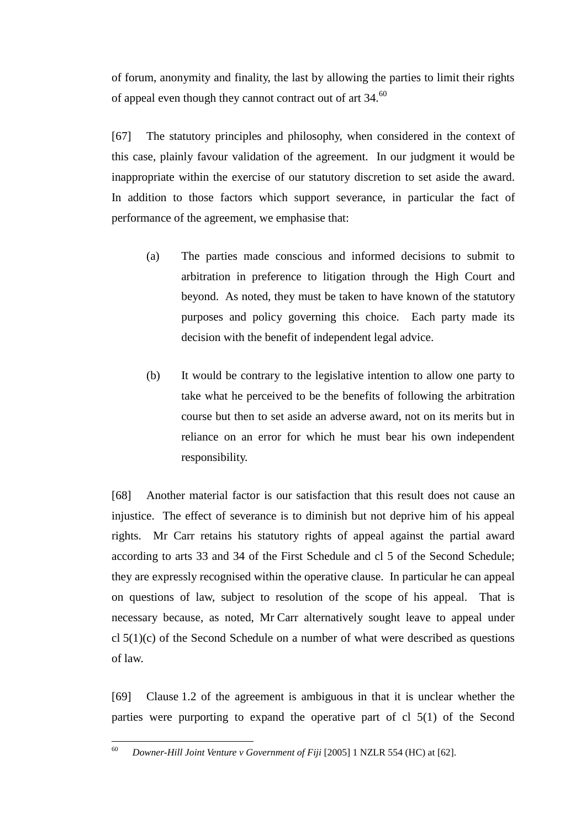of forum, anonymity and finality, the last by allowing the parties to limit their rights of appeal even though they cannot contract out of art 34.<sup>60</sup>

[67] The statutory principles and philosophy, when considered in the context of this case, plainly favour validation of the agreement. In our judgment it would be inappropriate within the exercise of our statutory discretion to set aside the award. In addition to those factors which support severance, in particular the fact of performance of the agreement, we emphasise that:

- (a) The parties made conscious and informed decisions to submit to arbitration in preference to litigation through the High Court and beyond. As noted, they must be taken to have known of the statutory purposes and policy governing this choice. Each party made its decision with the benefit of independent legal advice.
- (b) It would be contrary to the legislative intention to allow one party to take what he perceived to be the benefits of following the arbitration course but then to set aside an adverse award, not on its merits but in reliance on an error for which he must bear his own independent responsibility.

[68] Another material factor is our satisfaction that this result does not cause an injustice. The effect of severance is to diminish but not deprive him of his appeal rights. Mr Carr retains his statutory rights of appeal against the partial award according to arts 33 and 34 of the First Schedule and cl 5 of the Second Schedule; they are expressly recognised within the operative clause. In particular he can appeal on questions of law, subject to resolution of the scope of his appeal. That is necessary because, as noted, Mr Carr alternatively sought leave to appeal under cl  $5(1)(c)$  of the Second Schedule on a number of what were described as questions of law.

[69] Clause 1.2 of the agreement is ambiguous in that it is unclear whether the parties were purporting to expand the operative part of cl 5(1) of the Second

<sup>60</sup> <sup>60</sup> *Downer-Hill Joint Venture v Government of Fiji* [2005] 1 NZLR 554 (HC) at [62].